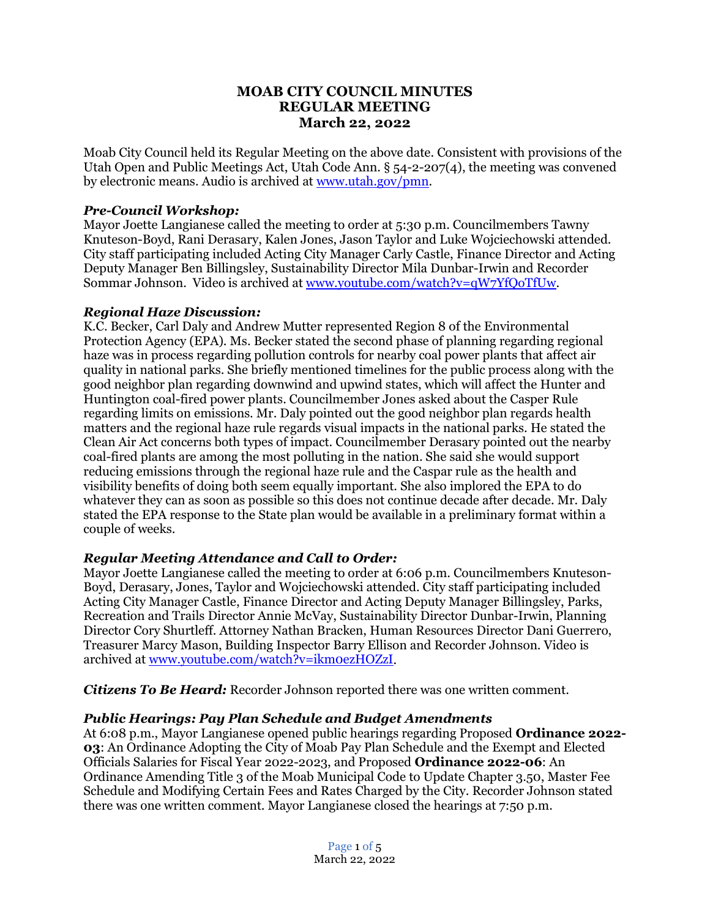# **MOAB CITY COUNCIL MINUTES REGULAR MEETING March 22, 2022**

Moab City Council held its Regular Meeting on the above date. Consistent with provisions of the Utah Open and Public Meetings Act, Utah Code Ann. § 54-2-207(4), the meeting was convened by electronic means. Audio is archived at [www.utah.gov/pmn.](about:blank)

# *Pre-Council Workshop:*

Mayor Joette Langianese called the meeting to order at 5:30 p.m. Councilmembers Tawny Knuteson-Boyd, Rani Derasary, Kalen Jones, Jason Taylor and Luke Wojciechowski attended. City staff participating included Acting City Manager Carly Castle, Finance Director and Acting Deputy Manager Ben Billingsley, Sustainability Director Mila Dunbar-Irwin and Recorder Sommar Johnson. Video is archived at [www.youtube.com/watch?v=qW7YfQoTfUw.](http://www.youtube.com/watch?v=qW7YfQoTfUw)

# *Regional Haze Discussion:*

K.C. Becker, Carl Daly and Andrew Mutter represented Region 8 of the Environmental Protection Agency (EPA). Ms. Becker stated the second phase of planning regarding regional haze was in process regarding pollution controls for nearby coal power plants that affect air quality in national parks. She briefly mentioned timelines for the public process along with the good neighbor plan regarding downwind and upwind states, which will affect the Hunter and Huntington coal-fired power plants. Councilmember Jones asked about the Casper Rule regarding limits on emissions. Mr. Daly pointed out the good neighbor plan regards health matters and the regional haze rule regards visual impacts in the national parks. He stated the Clean Air Act concerns both types of impact. Councilmember Derasary pointed out the nearby coal-fired plants are among the most polluting in the nation. She said she would support reducing emissions through the regional haze rule and the Caspar rule as the health and visibility benefits of doing both seem equally important. She also implored the EPA to do whatever they can as soon as possible so this does not continue decade after decade. Mr. Daly stated the EPA response to the State plan would be available in a preliminary format within a couple of weeks.

# *Regular Meeting Attendance and Call to Order:*

Mayor Joette Langianese called the meeting to order at 6:06 p.m. Councilmembers Knuteson-Boyd, Derasary, Jones, Taylor and Wojciechowski attended. City staff participating included Acting City Manager Castle, Finance Director and Acting Deputy Manager Billingsley, Parks, Recreation and Trails Director Annie McVay, Sustainability Director Dunbar-Irwin, Planning Director Cory Shurtleff. Attorney Nathan Bracken, Human Resources Director Dani Guerrero, Treasurer Marcy Mason, Building Inspector Barry Ellison and Recorder Johnson. Video is archived at [www.youtube.com/watch?v=ikm0ezHOZzI.](about:blank)

*Citizens To Be Heard:* Recorder Johnson reported there was one written comment.

# *Public Hearings: Pay Plan Schedule and Budget Amendments*

At 6:08 p.m., Mayor Langianese opened public hearings regarding Proposed **Ordinance 2022- 03**: An Ordinance Adopting the City of Moab Pay Plan Schedule and the Exempt and Elected Officials Salaries for Fiscal Year 2022-2023, and Proposed **Ordinance 2022-06**: An Ordinance Amending Title 3 of the Moab Municipal Code to Update Chapter 3.50, Master Fee Schedule and Modifying Certain Fees and Rates Charged by the City. Recorder Johnson stated there was one written comment. Mayor Langianese closed the hearings at 7:50 p.m.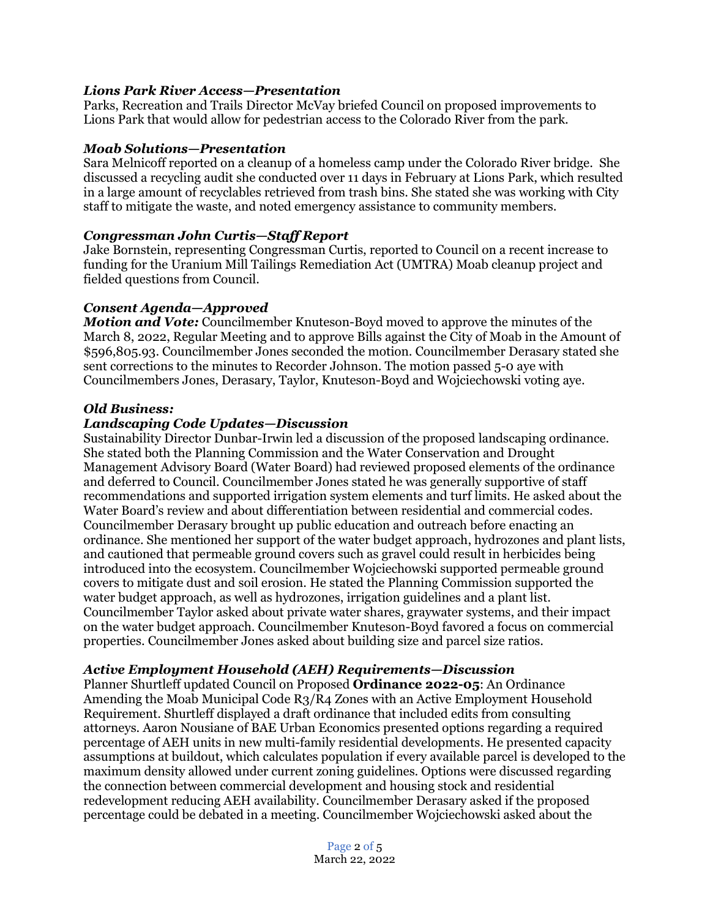## *Lions Park River Access—Presentation*

Parks, Recreation and Trails Director McVay briefed Council on proposed improvements to Lions Park that would allow for pedestrian access to the Colorado River from the park.

### *Moab Solutions—Presentation*

Sara Melnicoff reported on a cleanup of a homeless camp under the Colorado River bridge. She discussed a recycling audit she conducted over 11 days in February at Lions Park, which resulted in a large amount of recyclables retrieved from trash bins. She stated she was working with City staff to mitigate the waste, and noted emergency assistance to community members.

#### *Congressman John Curtis—Staff Report*

Jake Bornstein, representing Congressman Curtis, reported to Council on a recent increase to funding for the Uranium Mill Tailings Remediation Act (UMTRA) Moab cleanup project and fielded questions from Council.

#### *Consent Agenda—Approved*

*Motion and Vote:* Councilmember Knuteson-Boyd moved to approve the minutes of the March 8, 2022, Regular Meeting and to approve Bills against the City of Moab in the Amount of \$596,805.93. Councilmember Jones seconded the motion. Councilmember Derasary stated she sent corrections to the minutes to Recorder Johnson. The motion passed 5-0 aye with Councilmembers Jones, Derasary, Taylor, Knuteson-Boyd and Wojciechowski voting aye.

### *Old Business:*

#### *Landscaping Code Updates—Discussion*

Sustainability Director Dunbar-Irwin led a discussion of the proposed landscaping ordinance. She stated both the Planning Commission and the Water Conservation and Drought Management Advisory Board (Water Board) had reviewed proposed elements of the ordinance and deferred to Council. Councilmember Jones stated he was generally supportive of staff recommendations and supported irrigation system elements and turf limits. He asked about the Water Board's review and about differentiation between residential and commercial codes. Councilmember Derasary brought up public education and outreach before enacting an ordinance. She mentioned her support of the water budget approach, hydrozones and plant lists, and cautioned that permeable ground covers such as gravel could result in herbicides being introduced into the ecosystem. Councilmember Wojciechowski supported permeable ground covers to mitigate dust and soil erosion. He stated the Planning Commission supported the water budget approach, as well as hydrozones, irrigation guidelines and a plant list. Councilmember Taylor asked about private water shares, graywater systems, and their impact on the water budget approach. Councilmember Knuteson-Boyd favored a focus on commercial properties. Councilmember Jones asked about building size and parcel size ratios.

### *Active Employment Household (AEH) Requirements—Discussion*

Planner Shurtleff updated Council on Proposed **Ordinance 2022-05**: An Ordinance Amending the Moab Municipal Code R3/R4 Zones with an Active Employment Household Requirement. Shurtleff displayed a draft ordinance that included edits from consulting attorneys. Aaron Nousiane of BAE Urban Economics presented options regarding a required percentage of AEH units in new multi-family residential developments. He presented capacity assumptions at buildout, which calculates population if every available parcel is developed to the maximum density allowed under current zoning guidelines. Options were discussed regarding the connection between commercial development and housing stock and residential redevelopment reducing AEH availability. Councilmember Derasary asked if the proposed percentage could be debated in a meeting. Councilmember Wojciechowski asked about the

> Page 2 of 5 March 22, 2022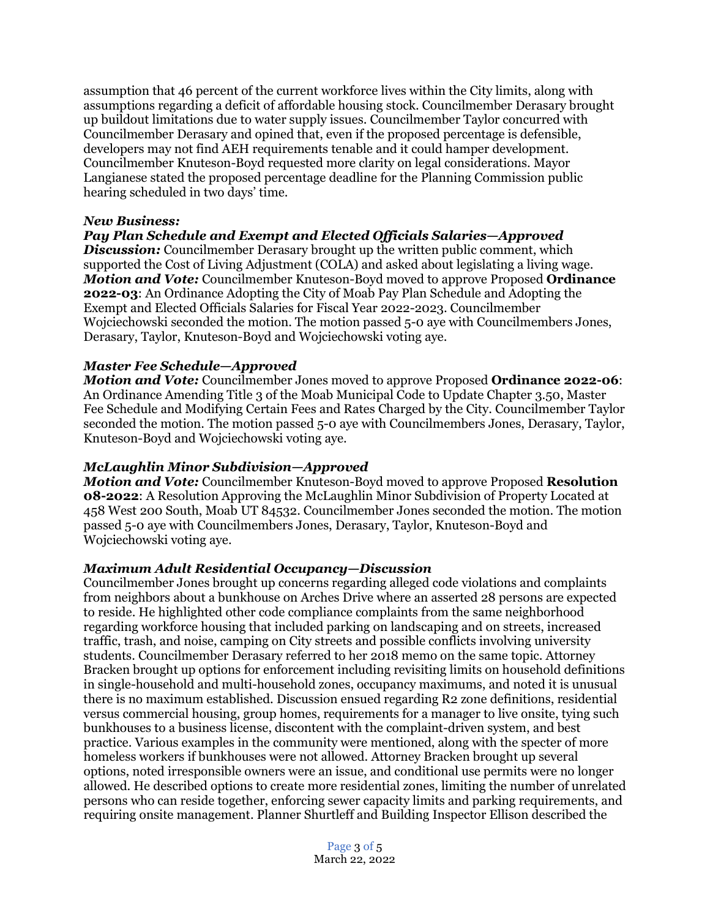assumption that 46 percent of the current workforce lives within the City limits, along with assumptions regarding a deficit of affordable housing stock. Councilmember Derasary brought up buildout limitations due to water supply issues. Councilmember Taylor concurred with Councilmember Derasary and opined that, even if the proposed percentage is defensible, developers may not find AEH requirements tenable and it could hamper development. Councilmember Knuteson-Boyd requested more clarity on legal considerations. Mayor Langianese stated the proposed percentage deadline for the Planning Commission public hearing scheduled in two days' time.

## *New Business:*

# *Pay Plan Schedule and Exempt and Elected Officials Salaries—Approved*

*Discussion:* Councilmember Derasary brought up the written public comment, which supported the Cost of Living Adjustment (COLA) and asked about legislating a living wage. *Motion and Vote:* Councilmember Knuteson-Boyd moved to approve Proposed **Ordinance 2022-03**: An Ordinance Adopting the City of Moab Pay Plan Schedule and Adopting the Exempt and Elected Officials Salaries for Fiscal Year 2022-2023. Councilmember Wojciechowski seconded the motion. The motion passed 5-0 aye with Councilmembers Jones, Derasary, Taylor, Knuteson-Boyd and Wojciechowski voting aye.

# *Master Fee Schedule—Approved*

*Motion and Vote:* Councilmember Jones moved to approve Proposed **Ordinance 2022-06**: An Ordinance Amending Title 3 of the Moab Municipal Code to Update Chapter 3.50, Master Fee Schedule and Modifying Certain Fees and Rates Charged by the City. Councilmember Taylor seconded the motion. The motion passed 5-0 aye with Councilmembers Jones, Derasary, Taylor, Knuteson-Boyd and Wojciechowski voting aye.

## *McLaughlin Minor Subdivision—Approved*

*Motion and Vote:* Councilmember Knuteson-Boyd moved to approve Proposed **Resolution 08-2022**: A Resolution Approving the McLaughlin Minor Subdivision of Property Located at 458 West 200 South, Moab UT 84532. Councilmember Jones seconded the motion. The motion passed 5-0 aye with Councilmembers Jones, Derasary, Taylor, Knuteson-Boyd and Wojciechowski voting aye.

## *Maximum Adult Residential Occupancy—Discussion*

Councilmember Jones brought up concerns regarding alleged code violations and complaints from neighbors about a bunkhouse on Arches Drive where an asserted 28 persons are expected to reside. He highlighted other code compliance complaints from the same neighborhood regarding workforce housing that included parking on landscaping and on streets, increased traffic, trash, and noise, camping on City streets and possible conflicts involving university students. Councilmember Derasary referred to her 2018 memo on the same topic. Attorney Bracken brought up options for enforcement including revisiting limits on household definitions in single-household and multi-household zones, occupancy maximums, and noted it is unusual there is no maximum established. Discussion ensued regarding R2 zone definitions, residential versus commercial housing, group homes, requirements for a manager to live onsite, tying such bunkhouses to a business license, discontent with the complaint-driven system, and best practice. Various examples in the community were mentioned, along with the specter of more homeless workers if bunkhouses were not allowed. Attorney Bracken brought up several options, noted irresponsible owners were an issue, and conditional use permits were no longer allowed. He described options to create more residential zones, limiting the number of unrelated persons who can reside together, enforcing sewer capacity limits and parking requirements, and requiring onsite management. Planner Shurtleff and Building Inspector Ellison described the

> Page 3 of 5 March 22, 2022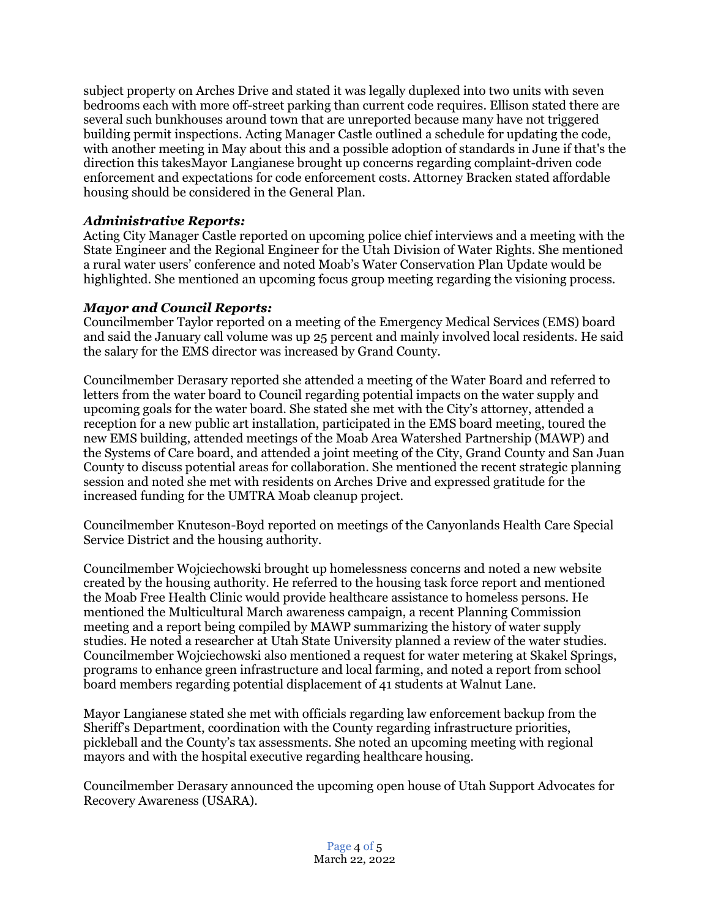subject property on Arches Drive and stated it was legally duplexed into two units with seven bedrooms each with more off-street parking than current code requires. Ellison stated there are several such bunkhouses around town that are unreported because many have not triggered building permit inspections. Acting Manager Castle outlined a schedule for updating the code, with another meeting in May about this and a possible adoption of standards in June if that's the direction this takesMayor Langianese brought up concerns regarding complaint-driven code enforcement and expectations for code enforcement costs. Attorney Bracken stated affordable housing should be considered in the General Plan.

# *Administrative Reports:*

Acting City Manager Castle reported on upcoming police chief interviews and a meeting with the State Engineer and the Regional Engineer for the Utah Division of Water Rights. She mentioned a rural water users' conference and noted Moab's Water Conservation Plan Update would be highlighted. She mentioned an upcoming focus group meeting regarding the visioning process.

## *Mayor and Council Reports:*

Councilmember Taylor reported on a meeting of the Emergency Medical Services (EMS) board and said the January call volume was up 25 percent and mainly involved local residents. He said the salary for the EMS director was increased by Grand County.

Councilmember Derasary reported she attended a meeting of the Water Board and referred to letters from the water board to Council regarding potential impacts on the water supply and upcoming goals for the water board. She stated she met with the City's attorney, attended a reception for a new public art installation, participated in the EMS board meeting, toured the new EMS building, attended meetings of the Moab Area Watershed Partnership (MAWP) and the Systems of Care board, and attended a joint meeting of the City, Grand County and San Juan County to discuss potential areas for collaboration. She mentioned the recent strategic planning session and noted she met with residents on Arches Drive and expressed gratitude for the increased funding for the UMTRA Moab cleanup project.

Councilmember Knuteson-Boyd reported on meetings of the Canyonlands Health Care Special Service District and the housing authority.

Councilmember Wojciechowski brought up homelessness concerns and noted a new website created by the housing authority. He referred to the housing task force report and mentioned the Moab Free Health Clinic would provide healthcare assistance to homeless persons. He mentioned the Multicultural March awareness campaign, a recent Planning Commission meeting and a report being compiled by MAWP summarizing the history of water supply studies. He noted a researcher at Utah State University planned a review of the water studies. Councilmember Wojciechowski also mentioned a request for water metering at Skakel Springs, programs to enhance green infrastructure and local farming, and noted a report from school board members regarding potential displacement of 41 students at Walnut Lane.

Mayor Langianese stated she met with officials regarding law enforcement backup from the Sheriff's Department, coordination with the County regarding infrastructure priorities, pickleball and the County's tax assessments. She noted an upcoming meeting with regional mayors and with the hospital executive regarding healthcare housing.

Councilmember Derasary announced the upcoming open house of Utah Support Advocates for Recovery Awareness (USARA).